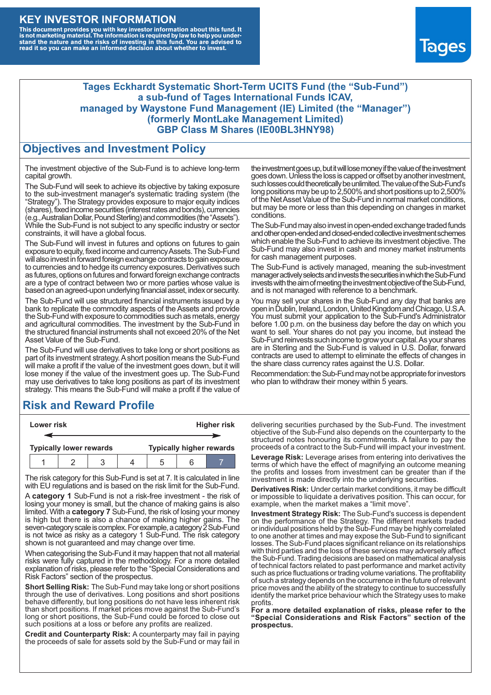#### **KEY INVESTOR INFORMATION**

This document provides you with key investor information about this fund. It<br>is not marketing material. The information is required by law to help you under-<br>stand the nature and the risks of investing in this fund. You ar



#### **Tages Eckhardt Systematic Short-Term UCITS Fund (the "Sub-Fund") a sub-fund of Tages International Funds ICAV, managed by Waystone Fund Management (IE) Limited (the "Manager") (formerly MontLake Management Limited) GBP Class M Shares (IE00BL3HNY98)**

#### **Objectives and Investment Policy**

The investment objective of the Sub-Fund is to achieve long-term capital growth.

The Sub-Fund will seek to achieve its objective by taking exposure to the sub-investment manager's systematic trading system (the "Strategy"). The Strategy provides exposure to major equity indices (shares),fixed income securities (interest rates and bonds), currencies (e.g.,AustralianDollar,PoundSterling)and commodities (the "Assets"). While the Sub-Fund is not subject to any specific industry or sector constraints, it will have a global focus.

The Sub-Fund will invest in futures and options on futures to gain exposure to equity, fixed income and currency Assets. The Sub-Fund will also invest in forward foreign exchange contracts to gain exposure to currencies and to hedge its currency exposures. Derivatives such as futures, options on futures and forward foreign exchange contracts are a type of contract between two or more parties whose value is based on an agreed-upon underlying financial asset, index or security.

The Sub-Fund will use structured financial instruments issued by a bank to replicate the commodity aspects of the Assets and provide the Sub-Fund with exposure to commodities such as metals, energy and agricultural commodities. The investment by the Sub-Fund in the structured financial instruments shall not exceed 20% of the Net Asset Value of the Sub-Fund.

The Sub-Fund will use derivatives to take long or short positions as part of its investment strategy.A short position means the Sub-Fund will make a profit if the value of the investment goes down, but it will lose money if the value of the investment goes up. The Sub-Fund may use derivatives to take long positions as part of its investment strategy. This means the Sub-Fund will make a profit if the value of

## **Risk and Reward Profile**

| Lower risk                     |  |  |  | <b>Higher risk</b>              |  |  |
|--------------------------------|--|--|--|---------------------------------|--|--|
|                                |  |  |  |                                 |  |  |
| <b>Typically lower rewards</b> |  |  |  | <b>Typically higher rewards</b> |  |  |
|                                |  |  |  | .5                              |  |  |

The risk category for this Sub-Fund is set at 7. It is calculated in line with EU regulations and is based on the risk limit for the Sub-Fund.

A **category 1** Sub-Fund is not a risk-free investment - the risk of losing your money is small, but the chance of making gains is also limited. With a **category 7** Sub-Fund, the risk of losing your money is high but there is also a chance of making higher gains. The seven-category scale is complex. For example, a category 2 Sub-Fund is not twice as risky as a category 1 Sub-Fund. The risk category shown is not guaranteed and may change over time.

When categorising the Sub-Fund it may happen that not all material risks were fully captured in the methodology. For a more detailed explanation of risks, please refer to the "Special Considerations and Risk Factors" section of the prospectus.

**Short Selling Risk:** The Sub-Fund may take long or short positions through the use of derivatives. Long positions and short positions behave differently, but long positions do not have less inherent risk than short positions. If market prices move against the Sub-Fund's long or short positions, the Sub-Fund could be forced to close out such positions at a loss or before any profits are realized.

**Credit and Counterparty Risk:** A counterparty may fail in paying the proceeds of sale for assets sold by the Sub-Fund or may fail in the investment goes up, but it will lose money if the value of the investment goes down. Unlessthe loss is capped or offset by another investment, such losses could theoretically be unlimited. The value of the Sub-Fund's long positions may be up to  $2,500\%$  and short positions up to  $2,500\%$ of the NetAsset Value of the Sub-Fund in normal market conditions, but may be more or less than this depending on changes in market conditions.

The Sub-Fund may also invest in open-ended exchange traded funds and other open-ended and closed-ended collective investment schemes which enable the Sub-Fund to achieve its investment objective. The Sub-Fund may also invest in cash and money market instruments for cash management purposes.

The Sub-Fund is actively managed, meaning the sub-investment manager actively selects and invests the securities in which the Sub-Fund invests with the aim of meeting the investment objective of the Sub-Fund, and is not managed with reference to a benchmark.

You may sell your shares in the Sub-Fund any day that banks are open in Dublin, Ireland, London, United Kingdom and Chicago, U.S.A. You must submit your application to the Sub-Fund's Administrator before 1.00 p.m. on the business day before the day on which you want to sell. Your shares do not pay you income, but instead the Sub-Fund reinvests such income to grow your capital. As your shares are in Sterling and the Sub-Fund is valued in U.S. Dollar, forward contracts are used to attempt to eliminate the effects of changes in the share class currency rates against the U.S. Dollar.

Recommendation: the Sub-Fund may not be appropriate for investors who plan to withdraw their money within 5 years.

delivering securities purchased by the Sub-Fund. The investment objective of the Sub-Fund also depends on the counterparty to the structured notes honouring its commitments. A failure to pay the proceeds of a contract to the Sub-Fund will impact your investment.

**Leverage Risk:** Leverage arises from entering into derivatives the terms of which have the effect of magnifying an outcome meaning the profits and losses from investment can be greater than if the investment is made directly into the underlying securities.

**Derivatives Risk:** Under certain market conditions, it may be difficult or impossible to liquidate a derivatives position. This can occur, for example, when the market makes a "limit move".

**Investment Strategy Risk:** The Sub-Fund's success is dependent on the performance of the Strategy. The different markets traded or individual positions held by the Sub-Fund may be highly correlated to one another at times and may expose the Sub-Fund to significant losses. The Sub-Fund places significant reliance on its relationships with third parties and the loss of these services may adversely affect the Sub-Fund. Trading decisions are based on mathematical analysis of technical factors related to past performance and market activity such as price fluctuations or trading volume variations. The profitability of such a strategy depends on the occurrence in the future of relevant price moves and the ability of the strategy to continue to successfully identify the market price behaviour which the Strategy uses to make profits.

**For a more detailed explanation of risks, please refer to the "Special Considerations and Risk Factors" section of the prospectus.**